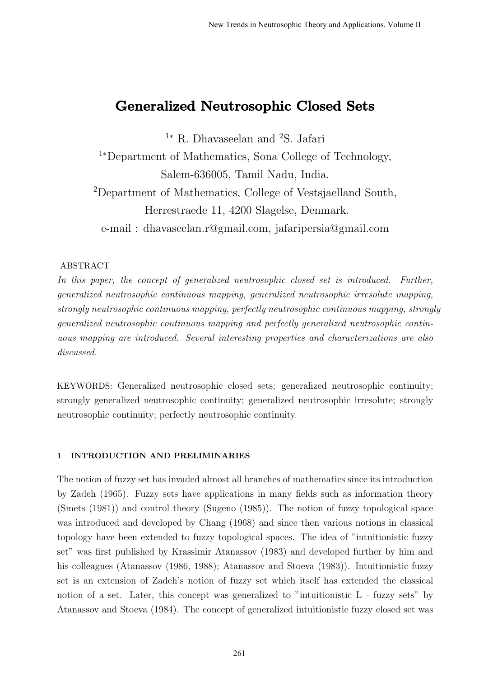# Generalized Neutrosophic Closed Sets

<sup>1</sup><sup>∗</sup> R. Dhavaseelan and <sup>2</sup>S. Jafari

<sup>1</sup><sup>∗</sup>Department of Mathematics, Sona College of Technology, Salem-636005, Tamil Nadu, India.

<sup>2</sup>Department of Mathematics, College of Vestsjaelland South, Herrestraede 11, 4200 Slagelse, Denmark.

e-mail : dhavaseelan.r@gmail.com, jafaripersia@gmail.com

# ABSTRACT

In this paper, the concept of generalized neutrosophic closed set is introduced. Further, generalized neutrosophic continuous mapping, generalized neutrosophic irresolute mapping, strongly neutrosophic continuous mapping, perfectly neutrosophic continuous mapping, strongly generalized neutrosophic continuous mapping and perfectly generalized neutrosophic continuous mapping are introduced. Several interesting properties and characterizations are also discussed.

KEYWORDS: Generalized neutrosophic closed sets; generalized neutrosophic continuity; strongly generalized neutrosophic continuity; generalized neutrosophic irresolute; strongly neutrosophic continuity; perfectly neutrosophic continuity.

## 1 INTRODUCTION AND PRELIMINARIES

The notion of fuzzy set has invaded almost all branches of mathematics since its introduction by Zadeh (1965). Fuzzy sets have applications in many fields such as information theory (Smets (1981)) and control theory (Sugeno (1985)). The notion of fuzzy topological space was introduced and developed by Chang (1968) and since then various notions in classical topology have been extended to fuzzy topological spaces. The idea of "intuitionistic fuzzy set" was first published by Krassimir Atanassov (1983) and developed further by him and his colleagues (Atanassov (1986, 1988); Atanassov and Stoeva (1983)). Intuitionistic fuzzy set is an extension of Zadeh's notion of fuzzy set which itself has extended the classical notion of a set. Later, this concept was generalized to "intuitionistic L - fuzzy sets" by Atanassov and Stoeva (1984). The concept of generalized intuitionistic fuzzy closed set was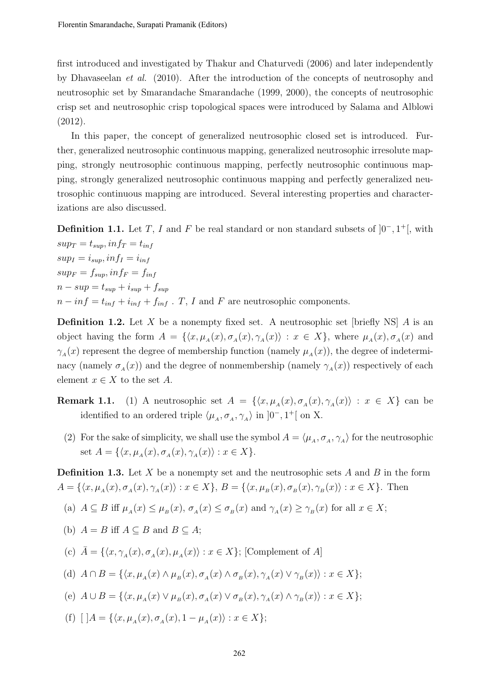first introduced and investigated by Thakur and Chaturvedi (2006) and later independently by Dhavaseelan et al. (2010). After the introduction of the concepts of neutrosophy and neutrosophic set by Smarandache Smarandache (1999, 2000), the concepts of neutrosophic crisp set and neutrosophic crisp topological spaces were introduced by Salama and Alblowi (2012).

In this paper, the concept of generalized neutrosophic closed set is introduced. Further, generalized neutrosophic continuous mapping, generalized neutrosophic irresolute mapping, strongly neutrosophic continuous mapping, perfectly neutrosophic continuous mapping, strongly generalized neutrosophic continuous mapping and perfectly generalized neutrosophic continuous mapping are introduced. Several interesting properties and characterizations are also discussed.

**Definition 1.1.** Let T, I and F be real standard or non standard subsets of  $[0^-, 1^+]$ , with  $sup_T = t_{sup}$ ,  $inf_T = t_{inf}$  $sup_I = i_{sup}$ ,  $inf_I = i_{inf}$  $sup_F = f_{sup}$ ,  $inf_F = f_{inf}$  $n - sup = t_{sun} + i_{sun} + f_{sun}$  $n - inf = t_{inf} + i_{inf} + f_{inf}$ . T, I and F are neutrosophic components.

**Definition 1.2.** Let X be a nonempty fixed set. A neutrosophic set [briefly NS]  $\vec{A}$  is an object having the form  $A = \{ \langle x, \mu_A(x), \sigma_A(x), \gamma_A(x) \rangle : x \in X \}$ , where  $\mu_A(x), \sigma_A(x)$  and  $\gamma_A(x)$  represent the degree of membership function (namely  $\mu_A(x)$ ), the degree of indeterminacy (namely  $\sigma_A(x)$ ) and the degree of nonmembership (namely  $\gamma_A(x)$ ) respectively of each element  $x \in X$  to the set A.

- **Remark 1.1.** (1) A neutrosophic set  $A = \{ \langle x, \mu_A(x), \sigma_A(x), \gamma_A(x) \rangle : x \in X \}$  can be identified to an ordered triple  $\langle \mu_A, \sigma_A, \gamma_A \rangle$  in  $]0^-, 1^+[$  on X.
	- (2) For the sake of simplicity, we shall use the symbol  $A = \langle \mu_A, \sigma_A, \gamma_A \rangle$  for the neutrosophic set  $A = \{ \langle x, \mu_A(x), \sigma_A(x), \gamma_A(x) \rangle : x \in X \}.$

**Definition 1.3.** Let X be a nonempty set and the neutrosophic sets A and B in the form  $A = \{ \langle x, \mu_A(x), \sigma_A(x), \gamma_A(x) \rangle : x \in X \}, B = \{ \langle x, \mu_B(x), \sigma_B(x), \gamma_B(x) \rangle : x \in X \}.$  Then

- (a)  $A \subseteq B$  iff  $\mu_A(x) \leq \mu_B(x)$ ,  $\sigma_A(x) \leq \sigma_B(x)$  and  $\gamma_A(x) \geq \gamma_B(x)$  for all  $x \in X$ ;
- (b)  $A = B$  iff  $A \subseteq B$  and  $B \subseteq A$ ;

(c)  $\bar{A} = \{ \langle x, \gamma_A(x), \sigma_A(x), \mu_A(x) \rangle : x \in X \};$  [Complement of A]

- (d)  $A \cap B = \{ \langle x, \mu_A(x) \land \mu_B(x), \sigma_A(x) \land \sigma_B(x), \gamma_A(x) \lor \gamma_B(x) \rangle : x \in X \};$
- (e)  $A \cup B = \{ \langle x, \mu_A(x) \vee \mu_B(x), \sigma_A(x) \vee \sigma_B(x), \gamma_A(x) \wedge \gamma_B(x) \rangle : x \in X \};$
- (f)  $[$   $]A = \{ \langle x, \mu_A(x), \sigma_A(x), 1 \mu_A(x) \rangle : x \in X \};$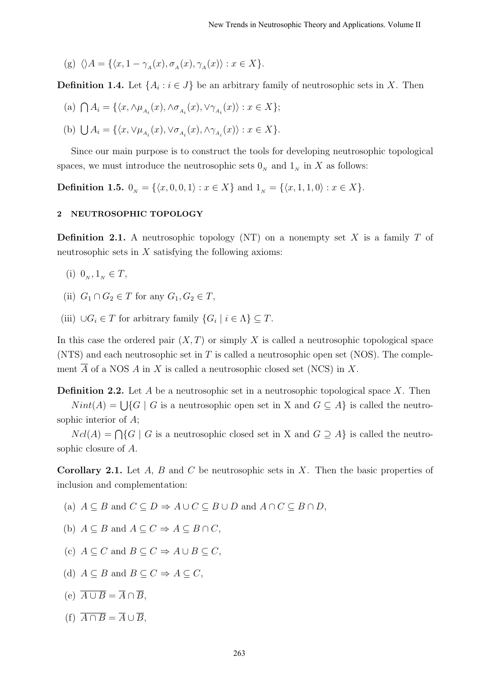(g)  $\langle A = {\langle x, 1 - \gamma_A(x), \sigma_A(x), \gamma_A(x) \rangle : x \in X}$ .

**Definition 1.4.** Let  $\{A_i : i \in J\}$  be an arbitrary family of neutrosophic sets in X. Then

- (a)  $\bigcap A_i = \{ \langle x, \wedge \mu_{A_i}(x), \wedge \sigma_{A_i}(x), \vee \gamma_{A_i}(x) \rangle : x \in X \};$
- (b)  $\bigcup A_i = \{ \langle x, \vee \mu_{A_i}(x), \vee \sigma_{A_i}(x), \wedge \gamma_{A_i}(x) \rangle : x \in X \}.$

Since our main purpose is to construct the tools for developing neutrosophic topological spaces, we must introduce the neutrosophic sets  $0<sub>N</sub>$  and  $1<sub>N</sub>$  in X as follows:

**Definition 1.5.**  $0_N = \{\langle x, 0, 0, 1 \rangle : x \in X\}$  and  $1_N = \{\langle x, 1, 1, 0 \rangle : x \in X\}.$ 

### 2 NEUTROSOPHIC TOPOLOGY

**Definition 2.1.** A neutrosophic topology (NT) on a nonempty set X is a family T of neutrosophic sets in  $X$  satisfying the following axioms:

- (i)  $0_N, 1_N \in T$ ,
- (ii)  $G_1 \cap G_2 \in T$  for any  $G_1, G_2 \in T$ ,
- (iii)  $\bigcup G_i \in T$  for arbitrary family  $\{G_i \mid i \in \Lambda\} \subseteq T$ .

In this case the ordered pair  $(X, T)$  or simply X is called a neutrosophic topological space  $(NTS)$  and each neutrosophic set in T is called a neutrosophic open set  $(NOS)$ . The complement  $\overline{A}$  of a NOS A in X is called a neutrosophic closed set (NCS) in X.

**Definition 2.2.** Let A be a neutrosophic set in a neutrosophic topological space X. Then

 $Nint(A) = \bigcup \{G \mid G$  is a neutrosophic open set in X and  $G \subseteq A\}$  is called the neutrosophic interior of A;

 $Ncl(A) = \bigcap \{G \mid G$  is a neutrosophic closed set in X and  $G \supseteq A\}$  is called the neutrosophic closure of A.

**Corollary 2.1.** Let  $A$ ,  $B$  and  $C$  be neutrosophic sets in  $X$ . Then the basic properties of inclusion and complementation:

- (a)  $A \subseteq B$  and  $C \subseteq D \Rightarrow A \cup C \subseteq B \cup D$  and  $A \cap C \subseteq B \cap D$ ,
- (b)  $A \subseteq B$  and  $A \subseteq C \Rightarrow A \subseteq B \cap C$ .
- (c)  $A \subseteq C$  and  $B \subseteq C \Rightarrow A \cup B \subseteq C$ .
- (d)  $A \subseteq B$  and  $B \subseteq C \Rightarrow A \subseteq C$ .
- (e)  $\overline{A \cup B} = \overline{A} \cap \overline{B}$ .
- (f)  $\overline{A \cap B} = \overline{A} \cup \overline{B}$ .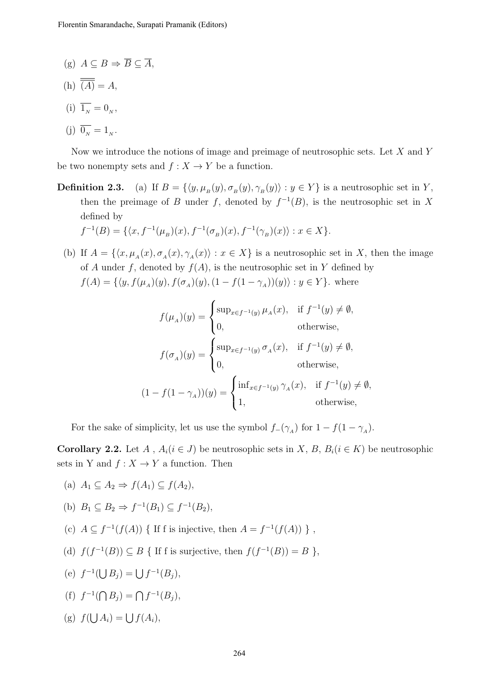- (g)  $A \subseteq B \Rightarrow \overline{B} \subseteq \overline{A}$ .
- (h)  $\overline{\overline{(A)}} = A$ .
- (i)  $\overline{1_N} = 0_N$ , (j)  $\overline{0_N} = 1_N$ .

Now we introduce the notions of image and preimage of neutrosophic sets. Let X and Y be two nonempty sets and  $f: X \to Y$  be a function.

**Definition 2.3.** (a) If  $B = \{ \langle y, \mu_B(y), \sigma_B(y), \gamma_B(y) \rangle : y \in Y \}$  is a neutrosophic set in Y, then the preimage of B under f, denoted by  $f^{-1}(B)$ , is the neutrosophic set in X defined by

$$
f^{-1}(B) = \{ \langle x, f^{-1}(\mu_B)(x), f^{-1}(\sigma_B)(x), f^{-1}(\gamma_B)(x) \rangle : x \in X \}.
$$

(b) If  $A = \{\langle x, \mu_A(x), \sigma_A(x), \gamma_A(x)\rangle : x \in X\}$  is a neutrosophic set in X, then the image of A under f, denoted by  $f(A)$ , is the neutrosophic set in Y defined by  $f(A) = \{ \langle y, f(\mu_A)(y), f(\sigma_A)(y), (1 - f(1 - \gamma_A))(y) \rangle : y \in Y \}.$  where

$$
f(\mu_A)(y) = \begin{cases} \sup_{x \in f^{-1}(y)} \mu_A(x), & \text{if } f^{-1}(y) \neq \emptyset, \\ 0, & \text{otherwise,} \end{cases}
$$
  

$$
f(\sigma_A)(y) = \begin{cases} \sup_{x \in f^{-1}(y)} \sigma_A(x), & \text{if } f^{-1}(y) \neq \emptyset, \\ 0, & \text{otherwise,} \end{cases}
$$
  

$$
(1 - f(1 - \gamma_A))(y) = \begin{cases} \inf_{x \in f^{-1}(y)} \gamma_A(x), & \text{if } f^{-1}(y) \neq \emptyset, \\ 1, & \text{otherwise,} \end{cases}
$$

For the sake of simplicity, let us use the symbol  $f_{-}(\gamma_{A})$  for  $1 - f(1 - \gamma_{A})$ .

**Corollary 2.2.** Let A,  $A_i (i \in J)$  be neutrosophic sets in X, B,  $B_i (i \in K)$  be neutrosophic sets in Y and  $f: X \to Y$  a function. Then

- (a)  $A_1 \subseteq A_2 \Rightarrow f(A_1) \subseteq f(A_2)$ ,
- (b)  $B_1 \subseteq B_2 \Rightarrow f^{-1}(B_1) \subseteq f^{-1}(B_2)$ ,
- (c)  $A \subseteq f^{-1}(f(A))$  { If f is injective, then  $A = f^{-1}(f(A))$  },
- (d)  $f(f^{-1}(B)) \subseteq B$  { If f is surjective, then  $f(f^{-1}(B)) = B$  },
- (e)  $f^{-1}(\bigcup B_j) = \bigcup f^{-1}(B_j),$
- (f)  $f^{-1}(\bigcap B_j) = \bigcap f^{-1}(B_j),$
- (g)  $f(\bigcup A_i) = \bigcup f(A_i),$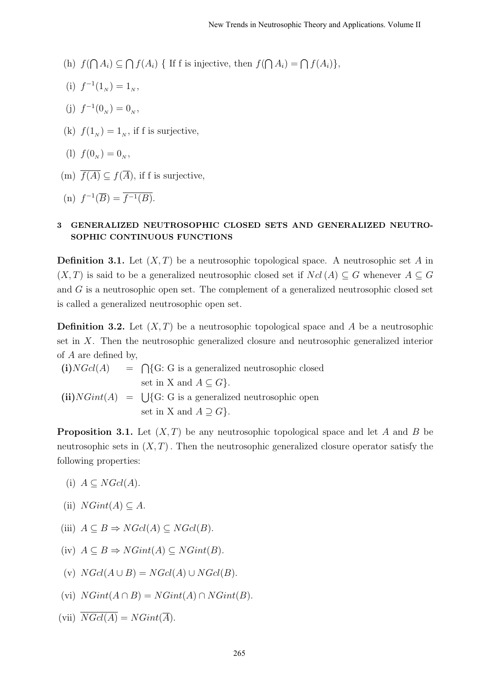- (h)  $f(\bigcap A_i) \subseteq \bigcap f(A_i)$  { If f is injective, then  $f(\bigcap A_i) = \bigcap f(A_i)$ },
- (i)  $f^{-1}(1_N) = 1_N$ ,
- (j)  $f^{-1}(0_N) = 0_N$ ,
- (k)  $f(1_N) = 1_N$ , if f is surjective,
- (1)  $f(0_N) = 0_N$ ,
- (m)  $\overline{f(A)} \subset f(\overline{A})$ , if f is surjective,

(n) 
$$
f^{-1}(\overline{B}) = \overline{f^{-1}(B)}.
$$

# 3 GENERALIZED NEUTROSOPHIC CLOSED SETS AND GENERALIZED NEUTRO-SOPHIC CONTINUOUS FUNCTIONS

**Definition 3.1.** Let  $(X, T)$  be a neutrosophic topological space. A neutrosophic set A in  $(X, T)$  is said to be a generalized neutrosophic closed set if  $Ncl(A) \subseteq G$  whenever  $A \subseteq G$ and G is a neutrosophic open set. The complement of a generalized neutrosophic closed set is called a generalized neutrosophic open set.

**Definition 3.2.** Let  $(X, T)$  be a neutrosophic topological space and A be a neutrosophic set in X. Then the neutrosophic generalized closure and neutrosophic generalized interior of A are defined by,

 $(i)NGcl(A)$  $= \bigcap \{G: G \text{ is a generalized neutrosophic closed}\}\$ set in X and  $A \subseteq G$ .  $(ii) NGint(A) = \bigcup \{G: G \text{ is a generalized neutrosophic open}\}\$ set in X and  $A \supseteq G$ .

**Proposition 3.1.** Let  $(X, T)$  be any neutrosophic topological space and let A and B be neutrosophic sets in  $(X, T)$ . Then the neutrosophic generalized closure operator satisfy the following properties:

- (i)  $A \subseteq NGL(A)$ .
- (ii)  $NGint(A) \subseteq A$ .
- (iii)  $A \subseteq B \Rightarrow NGcl(A) \subseteq NGcl(B)$ .
- (iv)  $A \subseteq B \Rightarrow NGint(A) \subseteq NGint(B)$ .
- (v)  $NGcl(A \cup B) = NGcl(A) \cup NGcl(B).$
- (vi)  $NGint(A \cap B) = NGint(A) \cap NGint(B)$ .
- (vii)  $\overline{NGcl(A)} = NGint(\overline{A}).$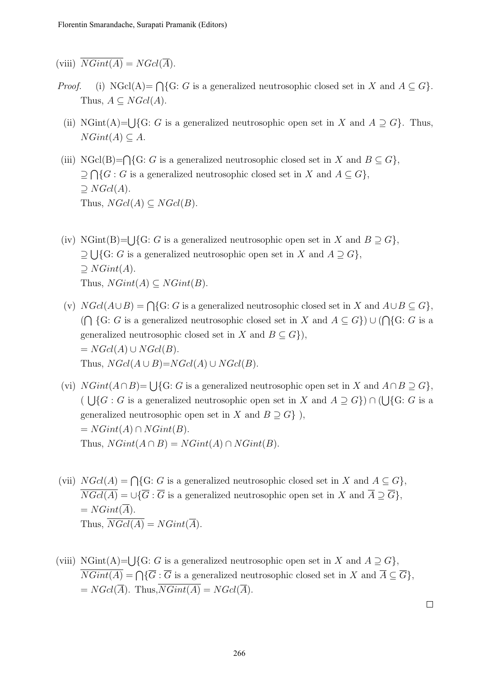(viii)  $\overline{NGint(A)} = NGcl(\overline{A}).$ 

- *Proof.* (i) NGcl(A)=  $\bigcap$ {G: G is a generalized neutrosophic closed set in X and  $A \subseteq G$ }. Thus,  $A \subseteq NGL(A)$ .
	- (ii) NGint(A)= $\bigcup$ {G: G is a generalized neutrosophic open set in X and  $A \supseteq G$ }. Thus,  $NGint(A) \subseteq A$ .
- (iii) NGcl(B)= $\bigcap$ {G: G is a generalized neutrosophic closed set in X and  $B \subseteq G$ },  $\supseteq \bigcap \{G : G$  is a generalized neutrosophic closed set in X and  $A \subseteq G\},$  $\supseteq NGcl(A).$ Thus,  $NGcl(A) \subseteq NGcl(B)$ .
- (iv) NGint(B)= $\bigcup$ {G: G is a generalized neutrosophic open set in X and  $B \supseteq G$ },  $\supseteq \bigcup \{G: G$  is a generalized neutrosophic open set in X and  $A \supseteq G\},$  $\supseteq$  NGint(A). Thus,  $NGint(A) \subseteq NGint(B)$ .
- (v)  $NGcl(A\cup B) = \bigcap \{G: G \text{ is a generalized neutrosophic closed set in } X \text{ and } A\cup B \subseteq G\},\$  $(\bigcap \{G : G \text{ is a generalized neutrosophic closed set in } X \text{ and } A \subseteq G\}) \cup (\bigcap \{G : G \text{ is a }$ generalized neutrosophic closed set in X and  $B \subseteq G$ ,  $= NGcl(A) \cup NGcl(B).$ Thus,  $NGcl(A \cup B)=NGcl(A) \cup NGcl(B)$ .
- (vi)  $NGint(A \cap B) = \bigcup \{G : G$  is a generalized neutrosophic open set in X and  $A \cap B \supseteq G\}$ ,  $(\bigcup \{G : G$  is a generalized neutrosophic open set in X and  $A \supseteq G$ )  $\cap$  ( $\bigcup \{G : G$  is a generalized neutrosophic open set in X and  $B \supseteq G$ ,  $= NGint(A) \cap NGint(B).$ Thus,  $NGint(A \cap B) = NGint(A) \cap NGint(B)$ .
- (vii)  $NGcl(A) = \bigcap \{G : G$  is a generalized neutrosophic closed set in X and  $A \subseteq G\},$  $\overline{NGcl(A)} = \cup \{\overline{G} : \overline{G} \text{ is a generalized neutrosophic open set in } X \text{ and } \overline{A} \supseteq \overline{G}\},\$  $= NGint(\overline{A}).$ Thus,  $\overline{NGcl(A)} = NGint(\overline{A}).$
- (viii) NGint(A)= $\bigcup$ {G: G is a generalized neutrosophic open set in X and  $A \supseteq G$ },  $NGint(A) = \bigcap \{ \overline{G} : \overline{G} \text{ is a generalized neutrosophic closed set in } X \text{ and } \overline{A} \subseteq \overline{G} \},\$  $= NGcl(\overline{A})$ . Thus,  $\overline{NGint(A)} = NGcl(\overline{A})$ .

 $\Box$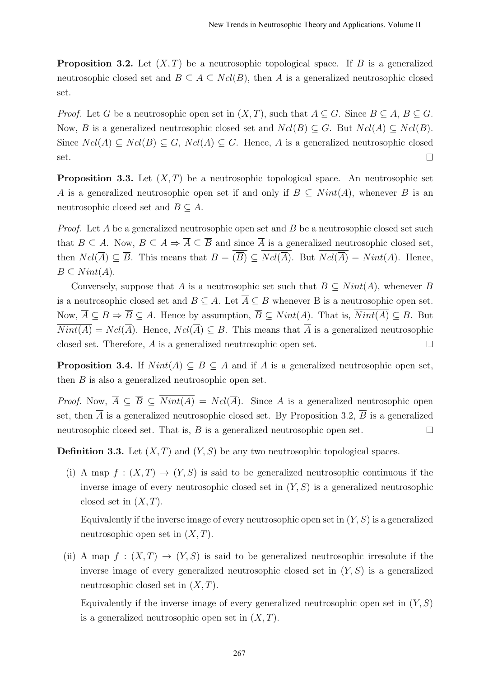**Proposition 3.2.** Let  $(X, T)$  be a neutrosophic topological space. If B is a generalized neutrosophic closed set and  $B \subseteq A \subseteq Ncl(B)$ , then A is a generalized neutrosophic closed set.

*Proof.* Let G be a neutrosophic open set in  $(X, T)$ , such that  $A \subseteq G$ . Since  $B \subseteq A$ ,  $B \subseteq G$ . Now, B is a generalized neutrosophic closed set and  $Ncl(B) \subseteq G$ . But  $Ncl(A) \subseteq Ncl(B)$ . Since  $Ncl(A) \subseteq Ncl(B) \subseteq G$ ,  $Ncl(A) \subseteq G$ . Hence, A is a generalized neutrosophic closed set.  $\Box$ 

**Proposition 3.3.** Let  $(X, T)$  be a neutrosophic topological space. An neutrosophic set A is a generalized neutrosophic open set if and only if  $B \subseteq Nint(A)$ , whenever B is an neutrosophic closed set and  $B \subseteq A$ .

*Proof.* Let  $A$  be a generalized neutrosophic open set and  $B$  be a neutrosophic closed set such that  $B \subseteq A$ . Now,  $B \subseteq A \Rightarrow \overline{A} \subseteq \overline{B}$  and since  $\overline{A}$  is a generalized neutrosophic closed set, then  $Ncl(\overline{A}) \subseteq \overline{B}$ . This means that  $B = \overline{(\overline{B})} \subseteq \overline{Ncl(\overline{A})}$ . But  $\overline{Ncl(\overline{A})} = Nint(A)$ . Hence,  $B \subset Nint(A)$ .

Conversely, suppose that A is a neutrosophic set such that  $B \subseteq Nint(A)$ , whenever B is a neutrosophic closed set and  $B \subseteq A$ . Let  $\overline{A} \subseteq B$  whenever B is a neutrosophic open set. Now,  $\overline{A} \subseteq B \Rightarrow \overline{B} \subseteq A$ . Hence by assumption,  $\overline{B} \subseteq Nint(A)$ . That is,  $\overline{Nint(A)} \subseteq B$ . But  $\overline{Nint(A)} = Ncl(\overline{A})$ . Hence,  $Ncl(\overline{A}) \subseteq B$ . This means that  $\overline{A}$  is a generalized neutrosophic closed set. Therefore, A is a generalized neutrosophic open set.  $\Box$ 

**Proposition 3.4.** If  $Nint(A) \subseteq B \subseteq A$  and if A is a generalized neutrosophic open set, then  $B$  is also a generalized neutrosophic open set.

*Proof.* Now,  $\overline{A} \subseteq \overline{B} \subseteq \overline{Nint(A)} = Ncl(\overline{A})$ . Since A is a generalized neutrosophic open set, then  $\overline{A}$  is a generalized neutrosophic closed set. By Proposition 3.2,  $\overline{B}$  is a generalized neutrosophic closed set. That is, B is a generalized neutrosophic open set.  $\Box$ 

**Definition 3.3.** Let  $(X, T)$  and  $(Y, S)$  be any two neutrosophic topological spaces.

(i) A map  $f : (X,T) \to (Y,S)$  is said to be generalized neutrosophic continuous if the inverse image of every neutrosophic closed set in  $(Y, S)$  is a generalized neutrosophic closed set in  $(X, T)$ .

Equivalently if the inverse image of every neutrosophic open set in  $(Y, S)$  is a generalized neutrosophic open set in  $(X, T)$ .

(ii) A map  $f : (X,T) \to (Y,S)$  is said to be generalized neutrosophic irresolute if the inverse image of every generalized neutrosophic closed set in  $(Y, S)$  is a generalized neutrosophic closed set in  $(X, T)$ .

Equivalently if the inverse image of every generalized neutrosophic open set in  $(Y, S)$ is a generalized neutrosophic open set in  $(X, T)$ .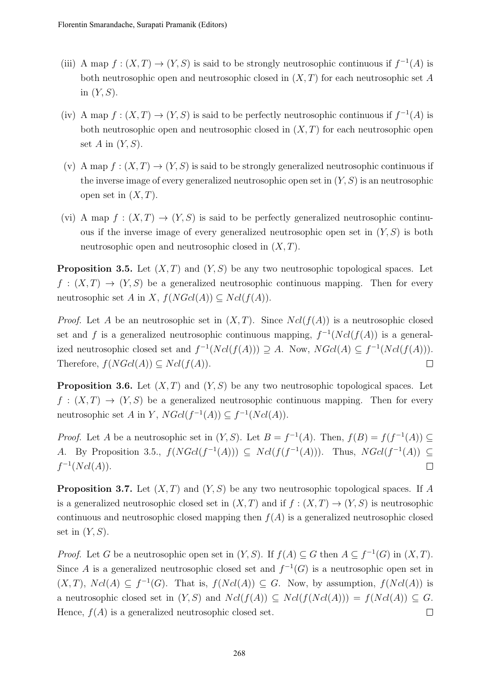- (iii) A map  $f:(X,T) \to (Y,S)$  is said to be strongly neutrosophic continuous if  $f^{-1}(A)$  is both neutrosophic open and neutrosophic closed in  $(X, T)$  for each neutrosophic set A in  $(Y, S)$ .
- (iv) A map  $f: (X,T) \to (Y,S)$  is said to be perfectly neutrosophic continuous if  $f^{-1}(A)$  is both neutrosophic open and neutrosophic closed in  $(X, T)$  for each neutrosophic open set  $A$  in  $(Y, S)$ .
- (v) A map  $f: (X,T) \to (Y,S)$  is said to be strongly generalized neutrosophic continuous if the inverse image of every generalized neutrosophic open set in  $(Y, S)$  is an neutrosophic open set in  $(X, T)$ .
- (vi) A map  $f : (X,T) \to (Y,S)$  is said to be perfectly generalized neutrosophic continuous if the inverse image of every generalized neutrosophic open set in  $(Y, S)$  is both neutrosophic open and neutrosophic closed in  $(X, T)$ .

**Proposition 3.5.** Let  $(X, T)$  and  $(Y, S)$  be any two neutrosophic topological spaces. Let  $f : (X,T) \to (Y,S)$  be a generalized neutrosophic continuous mapping. Then for every neutrosophic set A in X,  $f(NGcl(A)) \subseteq Ncl(f(A)).$ 

*Proof.* Let A be an neutrosophic set in  $(X, T)$ . Since  $Ncl(f(A))$  is a neutrosophic closed set and f is a generalized neutrosophic continuous mapping,  $f^{-1}(Ncl(f(A))$  is a generalized neutrosophic closed set and  $f^{-1}(Ncl(f(A))) \supseteq A$ . Now,  $NGl(A) \subseteq f^{-1}(Ncl(f(A))).$ Therefore,  $f(NGcl(A)) \subseteq Ncl(f(A)).$  $\Box$ 

**Proposition 3.6.** Let  $(X, T)$  and  $(Y, S)$  be any two neutrosophic topological spaces. Let  $f: (X,T) \to (Y,S)$  be a generalized neutrosophic continuous mapping. Then for every neutrosophic set A in Y,  $NGcl(f^{-1}(A)) \subseteq f^{-1}(Ncl(A)).$ 

*Proof.* Let A be a neutrosophic set in  $(Y, S)$ . Let  $B = f^{-1}(A)$ . Then,  $f(B) = f(f^{-1}(A)) \subseteq$ A. By Proposition 3.5.,  $f(NGcl(f^{-1}(A))) \subseteq Ncl(f(f^{-1}(A)))$ . Thus,  $NGcl(f^{-1}(A)) \subseteq$  $f^{-1}(Ncl(A)).$  $\Box$ 

**Proposition 3.7.** Let  $(X, T)$  and  $(Y, S)$  be any two neutrosophic topological spaces. If A is a generalized neutrosophic closed set in  $(X, T)$  and if  $f : (X, T) \to (Y, S)$  is neutrosophic continuous and neutrosophic closed mapping then  $f(A)$  is a generalized neutrosophic closed set in  $(Y, S)$ .

*Proof.* Let G be a neutrosophic open set in  $(Y, S)$ . If  $f(A) \subseteq G$  then  $A \subseteq f^{-1}(G)$  in  $(X, T)$ . Since A is a generalized neutrosophic closed set and  $f^{-1}(G)$  is a neutrosophic open set in  $(X, T)$ ,  $Ncl(A) \subseteq f^{-1}(G)$ . That is,  $f(Ncl(A)) \subseteq G$ . Now, by assumption,  $f(Ncl(A))$  is a neutrosophic closed set in  $(Y, S)$  and  $Ncl(f(A)) \subseteq Ncl(f(Ncl(A))) = f(Ncl(A)) \subseteq G$ . Hence,  $f(A)$  is a generalized neutrosophic closed set.  $\Box$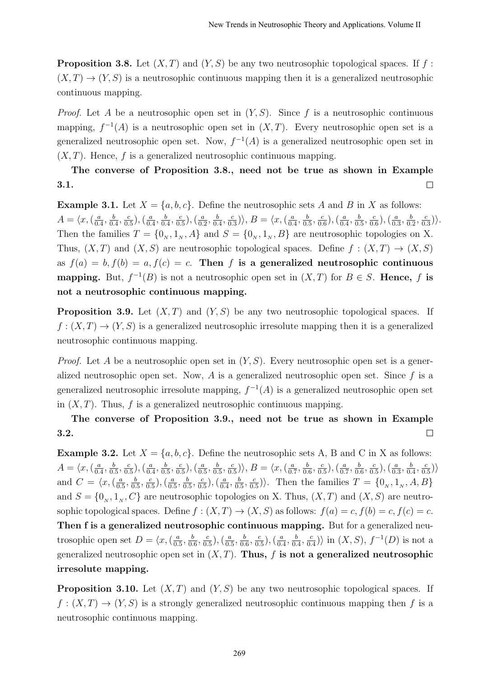**Proposition 3.8.** Let  $(X, T)$  and  $(Y, S)$  be any two neutrosophic topological spaces. If f:  $(X, T) \to (Y, S)$  is a neutrosophic continuous mapping then it is a generalized neutrosophic continuous mapping.

*Proof.* Let A be a neutrosophic open set in  $(Y, S)$ . Since f is a neutrosophic continuous mapping,  $f^{-1}(A)$  is a neutrosophic open set in  $(X,T)$ . Every neutrosophic open set is a generalized neutrosophic open set. Now,  $f^{-1}(A)$  is a generalized neutrosophic open set in  $(X, T)$ . Hence, f is a generalized neutrosophic continuous mapping.

#### The converse of Proposition 3.8., need not be true as shown in Example 3.1.  $\Box$

**Example 3.1.** Let  $X = \{a, b, c\}$ . Define the neutrosophic sets A and B in X as follows:  $A = \langle x, (\frac{a}{a}\rangle)$  $\frac{a}{0.4}, \frac{b}{0.}$  $\frac{b}{0.4}, \frac{c}{0.}$  $(\frac{c}{0.5}),(\frac{a}{0.5})$  $\frac{a}{0.4}, \frac{b}{0.}$  $\frac{b}{0.4}, \frac{c}{0.}$  $(\frac{c}{0.5}),(\frac{a}{0.5})$  $\frac{a}{0.2}, \frac{b}{0.}$  $\frac{b}{0.4}, \frac{c}{0.}$  $\frac{c}{0.3}$ ),  $B = \langle x, (\frac{a}{0.4}) \rangle$  $\frac{a}{0.4}, \frac{b}{0.}$  $\frac{b}{0.5}, \frac{c}{0.}$  $(\frac{c}{0.6})$ ,  $(\frac{a}{0.6})$  $\frac{a}{0.4}, \frac{b}{0.}$  $\frac{b}{0.5}, \frac{c}{0.}$  $\left(\frac{c}{0.6}\right), \left(\frac{a}{0.5}\right)$  $\frac{a}{0.3}, \frac{b}{0.}$  $\frac{b}{0.2}, \frac{c}{0.}$  $\frac{c}{0.3})\rangle.$ Then the families  $T = \{0_N, 1_N, A\}$  and  $S = \{0_N, 1_N, B\}$  are neutrosophic topologies on X. Thus,  $(X, T)$  and  $(X, S)$  are neutrosophic topological spaces. Define  $f : (X, T) \to (X, S)$ as  $f(a) = b, f(b) = a, f(c) = c$ . Then f is a generalized neutrosophic continuous **mapping.** But,  $f^{-1}(B)$  is not a neutrosophic open set in  $(X,T)$  for  $B \in S$ . Hence, f is not a neutrosophic continuous mapping.

**Proposition 3.9.** Let  $(X, T)$  and  $(Y, S)$  be any two neutrosophic topological spaces. If  $f: (X,T) \to (Y,S)$  is a generalized neutrosophic irresolute mapping then it is a generalized neutrosophic continuous mapping.

*Proof.* Let A be a neutrosophic open set in  $(Y, S)$ . Every neutrosophic open set is a generalized neutrosophic open set. Now,  $A$  is a generalized neutrosophic open set. Since  $f$  is a generalized neutrosophic irresolute mapping,  $f^{-1}(A)$  is a generalized neutrosophic open set in  $(X, T)$ . Thus, f is a generalized neutrosophic continuous mapping.

#### The converse of Proposition 3.9., need not be true as shown in Example 3.2.  $\Box$

**Example 3.2.** Let  $X = \{a, b, c\}$ . Define the neutrosophic sets A, B and C in X as follows:  $A = \langle x, (\frac{a}{a}\rangle)$  $\frac{a}{0.4}, \frac{b}{0.}$  $\frac{b}{0.5}, \frac{c}{0.5}$  $\frac{c}{0.5}$ ),  $\left(\frac{a}{0.5}\right)$  $\frac{a}{0.4}, \frac{b}{0.}$  $\frac{b}{0.5}, \frac{c}{0.}$  $\left(\frac{c}{0.5}\right), \left(\frac{a}{0.5}\right)$  $\frac{a}{0.5}, \frac{b}{0.}$  $\frac{b}{0.5}, \frac{c}{0.}$  $\frac{c}{0.5}$ ),  $B = \langle x, (\frac{a}{0.5}) \rangle$  $\frac{a}{0.7}, \frac{b}{0.}$  $\frac{b}{0.6}, \frac{c}{0.}$  $\frac{c}{0.5}$ ),  $\left(\frac{a}{0.5}\right)$  $\frac{a}{0.7}, \frac{b}{0.}$  $\frac{b}{0.6}, \frac{c}{0.}$  $\left(\frac{c}{0.5}\right), \left(\frac{a}{0.5}\right)$  $\frac{a}{0.3}, \frac{b}{0.}$  $\frac{b}{0.4}, \frac{c}{0.}$  $\frac{c}{0.5})\rangle$ and  $C = \langle x, \left( \frac{a}{0} \right) \rangle$  $\frac{a}{0.5}, \frac{b}{0.5}$  $\frac{b}{0.5}, \frac{c}{0.}$  $\left(\frac{c}{0.5}\right), \left(\frac{a}{0.5}\right)$  $\frac{a}{0.5}, \frac{b}{0.}$  $\frac{b}{0.5}, \frac{c}{0.}$  $\frac{c}{0.5}$ ),  $\left(\frac{a}{0.5}\right)$  $\frac{a}{0.4}, \frac{b}{0.}$  $\frac{b}{0.5}, \frac{c}{0.}$  $\frac{c}{(0.5)}$ . Then the families  $T = \{0_N, 1_N, A, B\}$ and  $S = \{0_N, 1_N, C\}$  are neutrosophic topologies on X. Thus,  $(X, T)$  and  $(X, S)$  are neutrosophic topological spaces. Define  $f : (X,T) \to (X,S)$  as follows:  $f(a) = c, f(b) = c, f(c) = c$ . Then f is a generalized neutrosophic continuous mapping. But for a generalized neutrosophic open set  $D = \langle x, \left( \frac{a}{0} \right) \rangle$  $\frac{a}{0.5}, \frac{b}{0.}$  $\frac{b}{0.6}, \frac{c}{0.}$  $\left(\frac{c}{0.5}\right), \left(\frac{a}{0.5}\right)$  $\frac{a}{0.5}, \frac{b}{0.}$  $\frac{b}{0.6}, \frac{c}{0.}$  $\left(\frac{c}{0.5}\right), \left(\frac{a}{0.5}\right)$  $\frac{a}{0.4}, \frac{b}{0.}$  $\frac{b}{0.4}, \frac{c}{0.}$  $\frac{c}{0.4}$ ) in  $(X, S)$ ,  $f^{-1}(D)$  is not a generalized neutrosophic open set in  $(X, T)$ . Thus, f is not a generalized neutrosophic irresolute mapping.

**Proposition 3.10.** Let  $(X, T)$  and  $(Y, S)$  be any two neutrosophic topological spaces. If  $f:(X,T)\to (Y,S)$  is a strongly generalized neutrosophic continuous mapping then f is a neutrosophic continuous mapping.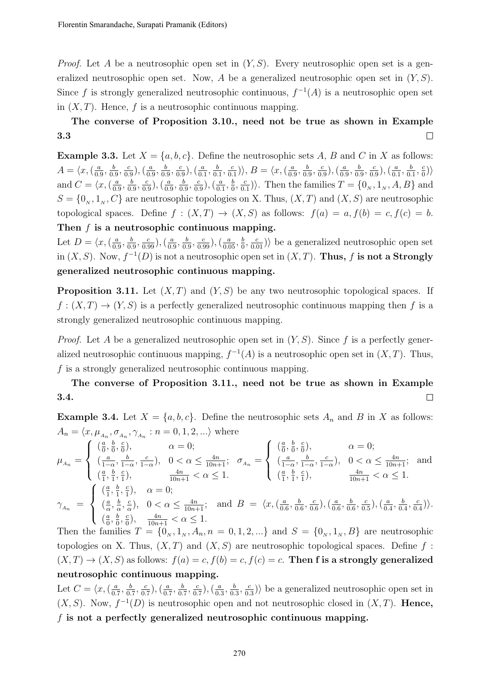*Proof.* Let A be a neutrosophic open set in  $(Y, S)$ . Every neutrosophic open set is a generalized neutrosophic open set. Now, A be a generalized neutrosophic open set in  $(Y, S)$ . Since f is strongly generalized neutrosophic continuous,  $f^{-1}(A)$  is a neutrosophic open set in  $(X, T)$ . Hence, f is a neutrosophic continuous mapping.

### The converse of Proposition 3.10., need not be true as shown in Example 3.3  $\Box$

**Example 3.3.** Let  $X = \{a, b, c\}$ . Define the neutrosophic sets A, B and C in X as follows:  $A = \langle x, \left( \frac{a}{0} \right) \rangle$  $\frac{a}{0.9}, \frac{b}{0.}$  $\frac{b}{0.9}, \frac{c}{0.9}$  $(\frac{c}{0.9}),(\frac{a}{0.9})$  $\frac{a}{0.9}, \frac{b}{0.}$  $\frac{b}{0.9}, \frac{c}{0.}$  $\left(\frac{c}{0.9}\right), \left(\frac{a}{0.9}\right)$  $\frac{a}{0.1}, \frac{b}{0.}$  $\frac{b}{0.1}, \frac{c}{0.}$  $\frac{c}{0.1}$ ),  $B = \langle x, (\frac{a}{0.1}) \rangle$  $\frac{a}{0.9}, \frac{b}{0.}$  $\frac{b}{0.9}, \frac{c}{0.}$  $(\frac{c}{0.9}),(\frac{a}{0.9})$  $\frac{a}{0.9}, \frac{b}{0.}$  $\frac{b}{0.9}, \frac{c}{0.}$  $\left(\frac{c}{0.9}\right), \left(\frac{a}{0.9}\right)$  $\frac{a}{0.1}, \frac{b}{0.}$  $\frac{b}{0.1}, \frac{c}{0}$  $\frac{c}{0}$ ) and  $C = \langle x, \left( \frac{a}{0} \right) \rangle$  $\frac{a}{0.9}, \frac{b}{0.}$  $\frac{b}{0.9}, \frac{c}{0.}$  $(\frac{c}{0.9}),(\frac{a}{0.9})$  $\frac{a}{0.9}, \frac{b}{0.}$  $\frac{b}{0.9}, \frac{c}{0.}$  $\left(\frac{c}{0.9}\right), \left(\frac{a}{0.9}\right)$  $\frac{a}{0.1}, \frac{b}{0}$  $\frac{b}{0}$ ,  $\frac{c}{0}$  $\left\{\frac{c}{0.1}\right\}$ . Then the families  $T = \{0_N, 1_N, A, B\}$  and  $S = \{0_N, 1_N, C\}$  are neutrosophic topologies on X. Thus,  $(X, T)$  and  $(X, S)$  are neutrosophic topological spaces. Define  $f : (X,T) \to (X,S)$  as follows:  $f(a) = a, f(b) = c, f(c) = b$ . Then f is a neutrosophic continuous mapping.

Let  $D = \langle x, (\frac{a}{\Omega})\rangle$  $\frac{a}{0.9}, \frac{b}{0.9}$  $(\frac{b}{0.9}, \frac{c}{0.99}), (\frac{a}{0.9})$  $\frac{a}{0.9}, \frac{b}{0.9}$  $\frac{b}{0.9}, \frac{c}{0.99}$ ),  $\left(\frac{a}{0.05}, \frac{b}{0}\right)$  $\left(\frac{b}{0}, \frac{c}{0.01}\right)$  be a generalized neutrosophic open set in  $(X, S)$ . Now,  $f^{-1}(D)$  is not a neutrosophic open set in  $(X, T)$ . Thus, f is not a Strongly generalized neutrosophic continuous mapping.

**Proposition 3.11.** Let  $(X, T)$  and  $(Y, S)$  be any two neutrosophic topological spaces. If  $f:(X,T)\to (Y,S)$  is a perfectly generalized neutrosophic continuous mapping then f is a strongly generalized neutrosophic continuous mapping.

*Proof.* Let A be a generalized neutrosophic open set in  $(Y, S)$ . Since f is a perfectly generalized neutrosophic continuous mapping,  $f^{-1}(A)$  is a neutrosophic open set in  $(X,T)$ . Thus, f is a strongly generalized neutrosophic continuous mapping.

The converse of Proposition 3.11., need not be true as shown in Example 3.4.  $\Box$ 

**Example 3.4.** Let  $X = \{a, b, c\}$ . Define the neutrosophic sets  $A_n$  and B in X as follows:  $A_n = \langle x, \mu_{A_n}, \sigma_{A_n}, \gamma_{A_n} : n = 0, 1, 2, \ldots \rangle$  where

$$
\mu_{A_n} = \begin{cases}\n(\frac{a}{0}, \frac{b}{0}, \frac{c}{0}), & \alpha = 0; \\
(\frac{a}{1-\alpha}, \frac{b}{1-\alpha}, \frac{c}{1-\alpha}), & 0 < \alpha \le \frac{4n}{10n+1}; \\
(\frac{a}{1}, \frac{b}{1}, \frac{c}{1}), & \frac{4n}{10n+1} < \alpha \le 1.\n\end{cases}\n\quad\n\begin{cases}\n(\frac{a}{0}, \frac{b}{0}, \frac{c}{0}), & \alpha = 0; \\
(\frac{a}{1-\alpha}, \frac{b}{1-\alpha}, \frac{c}{1-\alpha}), & 0 < \alpha \le \frac{4n}{10n+1}; \\
(\frac{a}{1}, \frac{b}{1}, \frac{c}{1}), & \frac{4n}{10n+1} < \alpha \le 1.\n\end{cases}
$$
\n
$$
\gamma_{A_n} = \begin{cases}\n(\frac{a}{1}, \frac{b}{1}, \frac{c}{1}), & \alpha = 0; \\
(\frac{a}{\alpha}, \frac{b}{\alpha}, \frac{c}{\alpha}), & 0 < \alpha \le \frac{4n}{10n+1}; \\
(\frac{a}{0}, \frac{b}{0}, \frac{c}{0}), & 0 < \alpha \le \frac{4n}{10n+1}; \\
(\frac{a}{0}, \frac{b}{0}, \frac{c}{0}), & \frac{4n}{10n+1} < \alpha \le 1.\n\end{cases}
$$
\nand  $B = \langle x, (\frac{a}{0.6}, \frac{b}{0.6}, \frac{c}{0.6}), (\frac{a}{0.6}, \frac{b}{0.6}, \frac{c}{0.5}), (\frac{a}{0.4}, \frac{b}{0.4}, \frac{c}{0.4})\rangle.$ 

Then the families  $T = \{0_N, 1_N, A_n, n = 0, 1, 2, \ldots\}$  and  $S = \{0_N, 1_N, B\}$  are neutrosophic topologies on X. Thus,  $(X, T)$  and  $(X, S)$  are neutrosophic topological spaces. Define f:  $(X, T) \rightarrow (X, S)$  as follows:  $f(a) = c, f(b) = c, f(c) = c$ . Then f is a strongly generalized neutrosophic continuous mapping.

Let  $C = \langle x, \left( \frac{a}{0} \right) \rangle$  $\frac{a}{0.7}, \frac{b}{0.5}$  $\frac{b}{0.7}, \frac{c}{0.}$  $\frac{c}{0.7}$ ),  $\left(\frac{a}{0.7}\right)$  $\frac{a}{0.7}, \frac{b}{0.}$  $\frac{b}{0.7}, \frac{c}{0.}$  $(\frac{c}{0.7}),(\frac{a}{0.7})$  $\frac{a}{0.3}, \frac{b}{0.}$  $\frac{b}{0.3}, \frac{c}{0.}$  $\frac{c}{(0.3)}$  be a generalized neutrosophic open set in  $(X, S)$ . Now,  $f^{-1}(D)$  is neutrosophic open and not neutrosophic closed in  $(X, T)$ . Hence, f is not a perfectly generalized neutrosophic continuous mapping.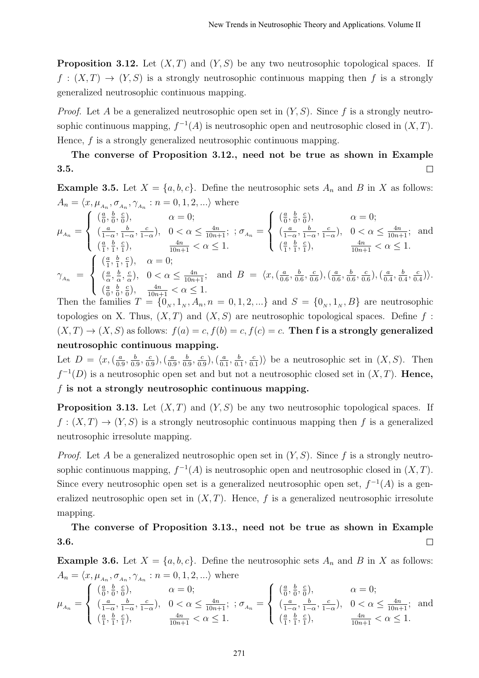**Proposition 3.12.** Let  $(X, T)$  and  $(Y, S)$  be any two neutrosophic topological spaces. If  $f : (X,T) \to (Y,S)$  is a strongly neutrosophic continuous mapping then f is a strongly generalized neutrosophic continuous mapping.

*Proof.* Let A be a generalized neutrosophic open set in  $(Y, S)$ . Since f is a strongly neutrosophic continuous mapping,  $f^{-1}(A)$  is neutrosophic open and neutrosophic closed in  $(X, T)$ . Hence, f is a strongly generalized neutrosophic continuous mapping.

#### The converse of Proposition 3.12., need not be true as shown in Example 3.5.  $\Box$

**Example 3.5.** Let  $X = \{a, b, c\}$ . Define the neutrosophic sets  $A_n$  and B in X as follows:  $A_n = \langle x, \mu_{A_n}, \sigma_{A_n}, \gamma_{A_n} : n = 0, 1, 2, \ldots \rangle$  where

$$
\mu_{A_n} = \begin{cases}\n(\frac{a}{0}, \frac{b}{0}, \frac{c}{0}), & \alpha = 0; \\
(\frac{a}{1-\alpha}, \frac{b}{1-\alpha}, \frac{c}{1-\alpha}), & 0 < \alpha \le \frac{4n}{10n+1}; \ \sigma_{A_n} = \begin{cases}\n(\frac{a}{0}, \frac{b}{0}, \frac{c}{0}), & \alpha = 0; \\
(\frac{a}{1-\alpha}, \frac{b}{1-\alpha}, \frac{c}{1-\alpha}), & 0 < \alpha \le \frac{4n}{10n+1}; \\
(\frac{a}{1}, \frac{b}{1}, \frac{c}{1}), & \frac{4n}{10n+1} < \alpha \le 1.\n\end{cases} \\
\gamma_{A_n} = \begin{cases}\n(\frac{a}{1}, \frac{b}{1}, \frac{c}{1}), & \alpha = 0; \\
(\frac{a}{1}, \frac{b}{1}, \frac{c}{1}), & \alpha = 0; \\
(\frac{a}{\alpha}, \frac{b}{\alpha}, \frac{c}{\alpha}), & 0 < \alpha \le \frac{4n}{10n+1}; \text{ and } B = \langle x, (\frac{a}{0.6}, \frac{b}{0.6}, \frac{c}{0.6}), (\frac{a}{0.6}, \frac{b}{0.6}, \frac{c}{0.6}), (\frac{a}{0.4}, \frac{b}{0.4}, \frac{c}{0.4})\rangle. \\
(\frac{a}{0}, \frac{b}{0}, \frac{c}{0}), & \frac{4n}{10n+1} < \alpha \le 1.\n\end{cases}
$$

Then the families  $T = \{0_N, 1_N, A_n, n = 0, 1, 2, \ldots\}$  and  $S = \{0_N, 1_N, B\}$  are neutrosophic topologies on X. Thus,  $(X, T)$  and  $(X, S)$  are neutrosophic topological spaces. Define f:  $(X, T) \rightarrow (X, S)$  as follows:  $f(a) = c, f(b) = c, f(c) = c$ . Then f is a strongly generalized neutrosophic continuous mapping.

Let  $D = \langle x, (\frac{a}{\alpha})\rangle$  $\frac{a}{0.9}, \frac{b}{0.9}$  $\frac{b}{0.9}, \frac{c}{0.9}$  $(\frac{c}{0.9}),(\frac{a}{0.9})$  $\frac{a}{0.9}, \frac{b}{0.}$  $\frac{b}{0.9}, \frac{c}{0.9}$  $\left(\frac{c}{0.9}\right), \left(\frac{a}{0.9}\right)$  $\frac{a}{0.1}, \frac{b}{0.}$  $\frac{b}{0.1}, \frac{c}{0.}$  $\frac{c}{0.1}$ ) be a neutrosophic set in  $(X, S)$ . Then  $f^{-1}(D)$  is a neutrosophic open set and but not a neutrosophic closed set in  $(X, T)$ . Hence,  $f$  is not a strongly neutrosophic continuous mapping.

**Proposition 3.13.** Let  $(X, T)$  and  $(Y, S)$  be any two neutrosophic topological spaces. If  $f: (X,T) \to (Y,S)$  is a strongly neutrosophic continuous mapping then f is a generalized neutrosophic irresolute mapping.

*Proof.* Let A be a generalized neutrosophic open set in  $(Y, S)$ . Since f is a strongly neutrosophic continuous mapping,  $f^{-1}(A)$  is neutrosophic open and neutrosophic closed in  $(X, T)$ . Since every neutrosophic open set is a generalized neutrosophic open set,  $f^{-1}(A)$  is a generalized neutrosophic open set in  $(X, T)$ . Hence, f is a generalized neutrosophic irresolute mapping.

The converse of Proposition 3.13., need not be true as shown in Example 3.6.  $\Box$ 

**Example 3.6.** Let  $X = \{a, b, c\}$ . Define the neutrosophic sets  $A_n$  and B in X as follows:  $A_n = \langle x, \mu_{A_n}, \sigma_{A_n}, \gamma_{A_n} : n = 0, 1, 2, \ldots \rangle$  where

$$
\mu_{A_n} = \begin{cases}\n(\frac{a}{0}, \frac{b}{0}, \frac{c}{0}), & \alpha = 0; \\
(\frac{a}{1-\alpha}, \frac{b}{1-\alpha}, \frac{c}{1-\alpha}), & 0 < \alpha \le \frac{4n}{10n+1}; \\
(\frac{a}{1}, \frac{b}{1}, \frac{c}{1}), & \frac{4n}{10n+1} < \alpha \le 1.\n\end{cases} ; \sigma_{A_n} = \begin{cases}\n(\frac{a}{0}, \frac{b}{0}, \frac{c}{0}), & \alpha = 0; \\
(\frac{a}{1-\alpha}, \frac{b}{1-\alpha}, \frac{c}{1-\alpha}), & 0 < \alpha \le \frac{4n}{10n+1}; \\
(\frac{a}{1}, \frac{b}{1}, \frac{c}{1}), & \frac{4n}{10n+1} < \alpha \le 1.\n\end{cases}
$$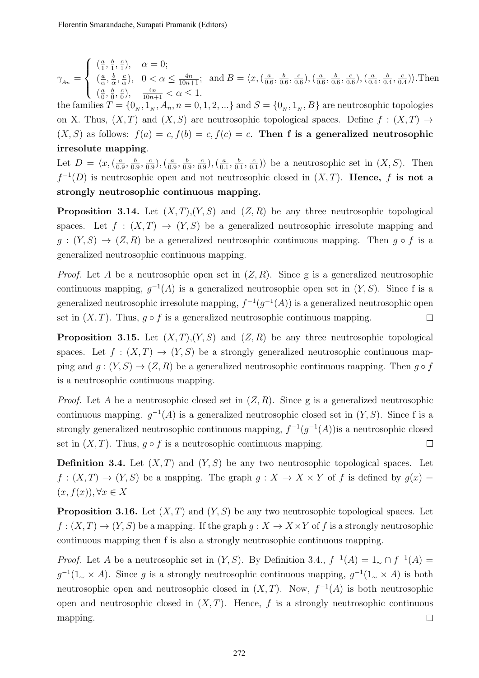$\gamma_{A_n} =$  $\sqrt{ }$  $\int$  $\overline{\mathcal{L}}$  $\left(\frac{a}{1}\right)$  $\frac{a}{1}, \frac{b}{1}$  $\frac{b}{1}, \frac{c}{1}$  $\frac{c}{1}$ ,  $\alpha = 0;$  $\left(\frac{a}{a}\right)$  $\frac{a}{\alpha}$ ,  $\frac{b}{\alpha}$  $\frac{b}{\alpha}$ ,  $\frac{c}{\alpha}$  $\frac{c}{\alpha}$ ,  $0 < \alpha \le \frac{4n}{10n+1}$ ;  $\left(\frac{a}{0}\right)$  $\frac{a}{0}, \frac{b}{0}$  $\frac{b}{0}$ ,  $\frac{c}{0}$  $\frac{c}{0}$ ),  $\frac{4n}{10n+1} < \alpha \leq 1$ . and  $B = \langle x, \left( \frac{a}{0} \right) \rangle$  $\frac{a}{0.6}, \frac{b}{0.}$  $\frac{b}{0.6}, \frac{c}{0.}$  $(\frac{c}{0.6}),(\frac{a}{0.6})$  $\frac{a}{0.6}, \frac{b}{0.}$  $\frac{b}{0.6}, \frac{c}{0.}$  $\left(\frac{c}{0.6}\right), \left(\frac{a}{0.5}\right)$  $\frac{a}{0.4}, \frac{b}{0.}$  $\frac{b}{0.4}, \frac{c}{0.}$  $\frac{c}{0.4}$ ). Then

the families  $T = \{0_n, 1_N, A_n, n = 0, 1, 2, ...\}$  and  $S = \{0_n, 1_N, B\}$  are neutrosophic topologies on X. Thus,  $(X, T)$  and  $(X, S)$  are neutrosophic topological spaces. Define  $f : (X, T) \rightarrow$  $(X, S)$  as follows:  $f(a) = c, f(b) = c, f(c) = c$ . Then f is a generalized neutrosophic irresolute mapping.

Let  $D = \langle x, \left( \frac{a}{0} \right) \rangle$  $\frac{a}{0.9}, \frac{b}{0.9}$  $\frac{b}{0.9}, \frac{c}{0.9}$  $\left(\frac{c}{0.9}\right), \left(\frac{a}{0.9}\right)$  $\frac{a}{0.9}, \frac{b}{0.}$  $\frac{b}{0.9}, \frac{c}{0.9}$  $\left(\frac{c}{0.9}\right), \left(\frac{a}{0.9}\right)$  $\frac{a}{0.1}, \frac{b}{0.}$  $\frac{b}{0.1}, \frac{c}{0.}$  $\frac{c}{0.1}$ ) be a neutrosophic set in  $(X, S)$ . Then  $f^{-1}(D)$  is neutrosophic open and not neutrosophic closed in  $(X, T)$ . Hence, f is not a strongly neutrosophic continuous mapping.

**Proposition 3.14.** Let  $(X, T), (Y, S)$  and  $(Z, R)$  be any three neutrosophic topological spaces. Let  $f : (X,T) \to (Y,S)$  be a generalized neutrosophic irresolute mapping and  $g:(Y, S) \to (Z, R)$  be a generalized neutrosophic continuous mapping. Then  $g \circ f$  is a generalized neutrosophic continuous mapping.

*Proof.* Let A be a neutrosophic open set in  $(Z, R)$ . Since g is a generalized neutrosophic continuous mapping,  $g^{-1}(A)$  is a generalized neutrosophic open set in  $(Y, S)$ . Since f is a generalized neutrosophic irresolute mapping,  $f^{-1}(g^{-1}(A))$  is a generalized neutrosophic open set in  $(X, T)$ . Thus,  $q \circ f$  is a generalized neutrosophic continuous mapping.  $\Box$ 

**Proposition 3.15.** Let  $(X, T), (Y, S)$  and  $(Z, R)$  be any three neutrosophic topological spaces. Let  $f : (X,T) \to (Y,S)$  be a strongly generalized neutrosophic continuous mapping and  $g: (Y, S) \to (Z, R)$  be a generalized neutrosophic continuous mapping. Then  $g \circ f$ is a neutrosophic continuous mapping.

*Proof.* Let A be a neutrosophic closed set in  $(Z, R)$ . Since g is a generalized neutrosophic continuous mapping.  $g^{-1}(A)$  is a generalized neutrosophic closed set in  $(Y, S)$ . Since f is a strongly generalized neutrosophic continuous mapping,  $f^{-1}(g^{-1}(A))$  is a neutrosophic closed set in  $(X, T)$ . Thus,  $g \circ f$  is a neutrosophic continuous mapping.  $\Box$ 

**Definition 3.4.** Let  $(X, T)$  and  $(Y, S)$  be any two neutrosophic topological spaces. Let  $f: (X,T) \to (Y,S)$  be a mapping. The graph  $g: X \to X \times Y$  of f is defined by  $g(x) =$  $(x, f(x)), \forall x \in X$ 

**Proposition 3.16.** Let  $(X, T)$  and  $(Y, S)$  be any two neutrosophic topological spaces. Let  $f: (X,T) \to (Y,S)$  be a mapping. If the graph  $q: X \to X \times Y$  of f is a strongly neutrosophic continuous mapping then f is also a strongly neutrosophic continuous mapping.

*Proof.* Let A be a neutrosophic set in  $(Y, S)$ . By Definition 3.4.,  $f^{-1}(A) = 1 \sim \bigcap f^{-1}(A)$  $g^{-1}(1_{\sim} \times A)$ . Since g is a strongly neutrosophic continuous mapping,  $g^{-1}(1_{\sim} \times A)$  is both neutrosophic open and neutrosophic closed in  $(X, T)$ . Now,  $f^{-1}(A)$  is both neutrosophic open and neutrosophic closed in  $(X, T)$ . Hence, f is a strongly neutrosophic continuous mapping.  $\Box$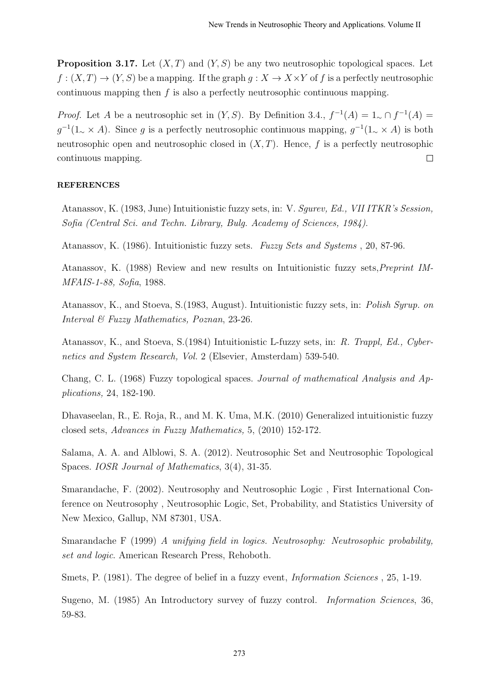**Proposition 3.17.** Let  $(X, T)$  and  $(Y, S)$  be any two neutrosophic topological spaces. Let  $f: (X,T) \to (Y,S)$  be a mapping. If the graph  $q: X \to X \times Y$  of f is a perfectly neutrosophic continuous mapping then  $f$  is also a perfectly neutrosophic continuous mapping.

*Proof.* Let A be a neutrosophic set in  $(Y, S)$ . By Definition 3.4.,  $f^{-1}(A) = 1 \sim \bigcap f^{-1}(A)$  $g^{-1}(1_{\sim} \times A)$ . Since g is a perfectly neutrosophic continuous mapping,  $g^{-1}(1_{\sim} \times A)$  is both neutrosophic open and neutrosophic closed in  $(X, T)$ . Hence, f is a perfectly neutrosophic  $\Box$ continuous mapping.

### REFERENCES

Atanassov, K. (1983, June) Intuitionistic fuzzy sets, in: V. Sgurev, Ed., VII ITKR's Session, Sofia (Central Sci. and Techn. Library, Bulg. Academy of Sciences, 1984).

Atanassov, K. (1986). Intuitionistic fuzzy sets. Fuzzy Sets and Systems , 20, 87-96.

Atanassov, K. (1988) Review and new results on Intuitionistic fuzzy sets,Preprint IM-MFAIS-1-88, Sofia, 1988.

Atanassov, K., and Stoeva, S.(1983, August). Intuitionistic fuzzy sets, in: Polish Syrup. on Interval & Fuzzy Mathematics, Poznan, 23-26.

Atanassov, K., and Stoeva, S.(1984) Intuitionistic L-fuzzy sets, in: R. Trappl, Ed., Cybernetics and System Research, Vol. 2 (Elsevier, Amsterdam) 539-540.

Chang, C. L. (1968) Fuzzy topological spaces. Journal of mathematical Analysis and Applications, 24, 182-190.

Dhavaseelan, R., E. Roja, R., and M. K. Uma, M.K. (2010) Generalized intuitionistic fuzzy closed sets, Advances in Fuzzy Mathematics, 5, (2010) 152-172.

Salama, A. A. and Alblowi, S. A. (2012). Neutrosophic Set and Neutrosophic Topological Spaces. IOSR Journal of Mathematics, 3(4), 31-35.

Smarandache, F. (2002). Neutrosophy and Neutrosophic Logic , First International Conference on Neutrosophy , Neutrosophic Logic, Set, Probability, and Statistics University of New Mexico, Gallup, NM 87301, USA.

Smarandache F (1999) A unifying field in logics. Neutrosophy: Neutrosophic probability, set and logic. American Research Press, Rehoboth.

Smets, P. (1981). The degree of belief in a fuzzy event, Information Sciences , 25, 1-19.

Sugeno, M. (1985) An Introductory survey of fuzzy control. Information Sciences, 36, 59-83.